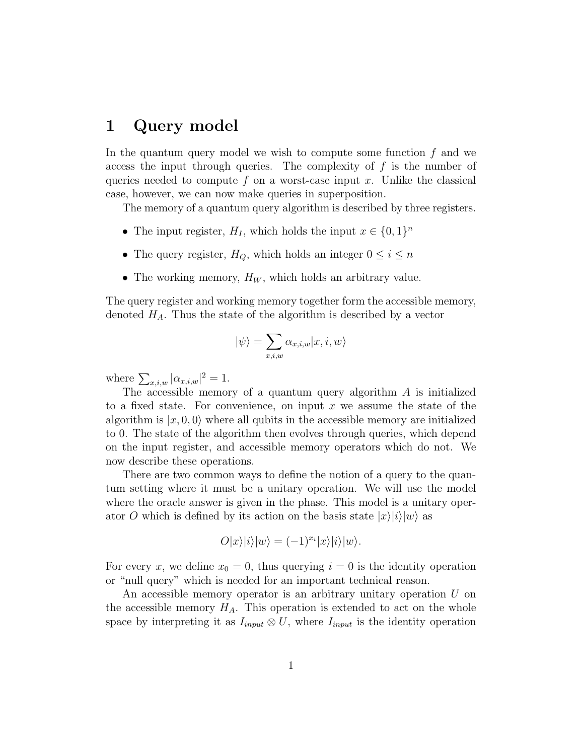### 1 Query model

In the quantum query model we wish to compute some function  $f$  and we access the input through queries. The complexity of  $f$  is the number of queries needed to compute f on a worst-case input x. Unlike the classical case, however, we can now make queries in superposition.

The memory of a quantum query algorithm is described by three registers.

- The input register,  $H_I$ , which holds the input  $x \in \{0,1\}^n$
- The query register,  $H_Q$ , which holds an integer  $0 \leq i \leq n$
- The working memory,  $H_W$ , which holds an arbitrary value.

The query register and working memory together form the accessible memory, denoted  $H_A$ . Thus the state of the algorithm is described by a vector

$$
|\psi\rangle = \sum_{x,i,w} \alpha_{x,i,w} |x,i,w\rangle
$$

where  $\sum_{x,i,w} |\alpha_{x,i,w}|^2 = 1$ .

The accessible memory of a quantum query algorithm  $A$  is initialized to a fixed state. For convenience, on input  $x$  we assume the state of the algorithm is  $|x, 0, 0\rangle$  where all qubits in the accessible memory are initialized to 0. The state of the algorithm then evolves through queries, which depend on the input register, and accessible memory operators which do not. We now describe these operations.

There are two common ways to define the notion of a query to the quantum setting where it must be a unitary operation. We will use the model where the oracle answer is given in the phase. This model is a unitary operator O which is defined by its action on the basis state  $|x\rangle|i\rangle|w\rangle$  as

$$
O|x\rangle|i\rangle|w\rangle=(-1)^{x_i}|x\rangle|i\rangle|w\rangle.
$$

For every x, we define  $x_0 = 0$ , thus querying  $i = 0$  is the identity operation or "null query" which is needed for an important technical reason.

An accessible memory operator is an arbitrary unitary operation  $U$  on the accessible memory  $H_A$ . This operation is extended to act on the whole space by interpreting it as  $I_{input} \otimes U$ , where  $I_{input}$  is the identity operation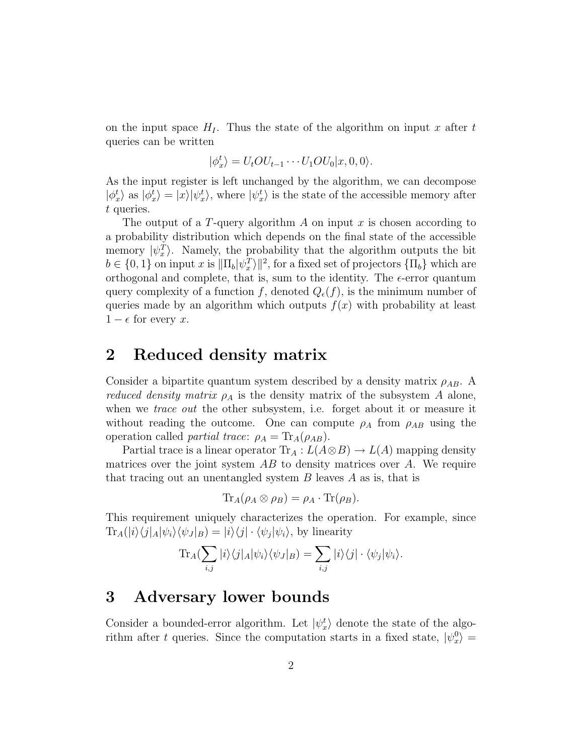on the input space  $H<sub>I</sub>$ . Thus the state of the algorithm on input x after t queries can be written

$$
|\phi_x^t\rangle = U_t O U_{t-1} \cdots U_1 O U_0 |x, 0, 0\rangle.
$$

As the input register is left unchanged by the algorithm, we can decompose  $|\phi_x^t\rangle$  as  $|\phi_x^t\rangle = |x\rangle |\psi_x^t\rangle$ , where  $|\psi_x^t\rangle$  is the state of the accessible memory after t queries.

The output of a T-query algorithm  $A$  on input  $x$  is chosen according to a probability distribution which depends on the final state of the accessible memory  $|\psi_x^T\rangle$ . Namely, the probability that the algorithm outputs the bit  $b \in \{0, 1\}$  on input x is  $\|\Pi_b|\psi_x^T\rangle\|^2$ , for a fixed set of projectors  $\{\Pi_b\}$  which are orthogonal and complete, that is, sum to the identity. The  $\epsilon$ -error quantum query complexity of a function f, denoted  $Q_{\epsilon}(f)$ , is the minimum number of queries made by an algorithm which outputs  $f(x)$  with probability at least  $1 - \epsilon$  for every x.

### 2 Reduced density matrix

Consider a bipartite quantum system described by a density matrix  $\rho_{AB}$ . A *reduced density matrix*  $\rho_A$  is the density matrix of the subsystem A alone, when we *trace out* the other subsystem, i.e. forget about it or measure it without reading the outcome. One can compute  $\rho_A$  from  $\rho_{AB}$  using the operation called *partial trace*:  $\rho_A = \text{Tr}_A(\rho_{AB})$ .

Partial trace is a linear operator  $\text{Tr}_A: L(A \otimes B) \to L(A)$  mapping density matrices over the joint system  $AB$  to density matrices over  $A$ . We require that tracing out an unentangled system  $B$  leaves  $A$  as is, that is

$$
\mathrm{Tr}_A(\rho_A \otimes \rho_B) = \rho_A \cdot \mathrm{Tr}(\rho_B).
$$

This requirement uniquely characterizes the operation. For example, since  $\text{Tr}_A(|i\rangle\langle j|_A|\psi_i\rangle\langle\psi_J|_B) = |i\rangle\langle j| \cdot \langle \psi_j|\psi_i\rangle$ , by linearity

$$
\text{Tr}_A(\sum_{i,j}|i\rangle\langle j|_A|\psi_i\rangle\langle\psi_J|_B) = \sum_{i,j}|i\rangle\langle j|\cdot\langle\psi_j|\psi_i\rangle.
$$

### 3 Adversary lower bounds

Consider a bounded-error algorithm. Let  $|\psi_x^t\rangle$  denote the state of the algorithm after t queries. Since the computation starts in a fixed state,  $|\psi_x^0\rangle$  $\vert x^0 \rangle =$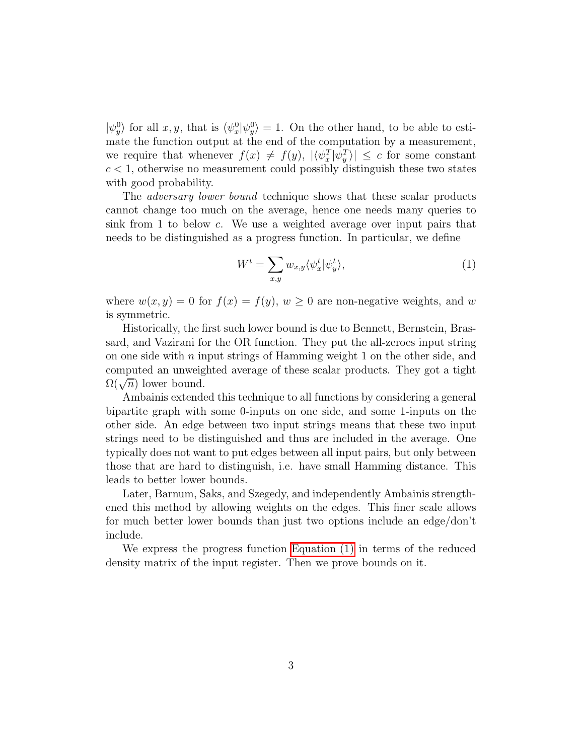$|\psi_y^0\>$  $\langle y \rangle$  for all  $x, y$ , that is  $\langle \psi_x^0 \rangle$  $\frac{0}{x}$ | $\psi_y^0$  $\langle y \rangle = 1$ . On the other hand, to be able to estimate the function output at the end of the computation by a measurement, we require that whenever  $f(x) \neq f(y)$ ,  $|\langle \psi_x^T | \psi_y^T \rangle| \leq c$  for some constant  $c < 1$ , otherwise no measurement could possibly distinguish these two states with good probability.

The *adversary lower bound* technique shows that these scalar products cannot change too much on the average, hence one needs many queries to sink from 1 to below c. We use a weighted average over input pairs that needs to be distinguished as a progress function. In particular, we define

<span id="page-2-0"></span>
$$
W^t = \sum_{x,y} w_{x,y} \langle \psi_x^t | \psi_y^t \rangle, \tag{1}
$$

where  $w(x, y) = 0$  for  $f(x) = f(y)$ ,  $w \ge 0$  are non-negative weights, and w is symmetric.

Historically, the first such lower bound is due to Bennett, Bernstein, Brassard, and Vazirani for the OR function. They put the all-zeroes input string on one side with  $n$  input strings of Hamming weight 1 on the other side, and computed an unweighted average of these scalar products. They got a tight  $\Omega(\sqrt{n})$  lower bound.

Ambainis extended this technique to all functions by considering a general bipartite graph with some 0-inputs on one side, and some 1-inputs on the other side. An edge between two input strings means that these two input strings need to be distinguished and thus are included in the average. One typically does not want to put edges between all input pairs, but only between those that are hard to distinguish, i.e. have small Hamming distance. This leads to better lower bounds.

Later, Barnum, Saks, and Szegedy, and independently Ambainis strengthened this method by allowing weights on the edges. This finer scale allows for much better lower bounds than just two options include an edge/don't include.

We express the progress function [Equation \(1\)](#page-2-0) in terms of the reduced density matrix of the input register. Then we prove bounds on it.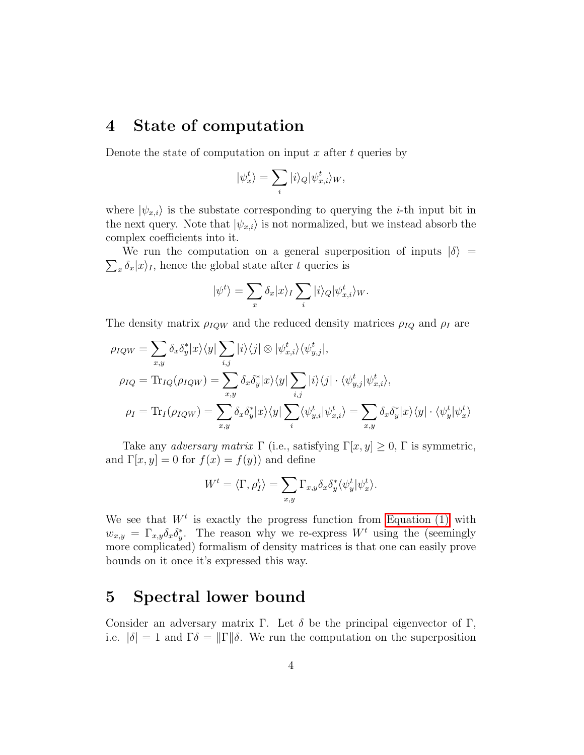# 4 State of computation

Denote the state of computation on input x after t queries by

$$
|\psi_x^t\rangle = \sum_i |i\rangle_Q |\psi_{x,i}^t\rangle_W,
$$

where  $|\psi_{x,i}\rangle$  is the substate corresponding to querying the *i*-th input bit in the next query. Note that  $|\psi_{x,i}\rangle$  is not normalized, but we instead absorb the complex coefficients into it.

 $\sum_{x} \delta_x |x\rangle_I$ , hence the global state after t queries is We run the computation on a general superposition of inputs  $|\delta\rangle$  =

$$
|\psi^t\rangle = \sum_x \delta_x |x\rangle_I \sum_i |i\rangle_Q |\psi^t_{x,i}\rangle_W.
$$

The density matrix  $\rho_{IQW}$  and the reduced density matrices  $\rho_{IQ}$  and  $\rho_I$  are

$$
\rho_{IQW} = \sum_{x,y} \delta_x \delta_y^* |x\rangle\langle y| \sum_{i,j} |i\rangle\langle j| \otimes |\psi_{x,i}^t\rangle\langle \psi_{y,j}^t|,
$$
  
\n
$$
\rho_{IQ} = \text{Tr}_{IQ}(\rho_{IQW}) = \sum_{x,y} \delta_x \delta_y^* |x\rangle\langle y| \sum_{i,j} |i\rangle\langle j| \cdot \langle \psi_{y,j}^t | \psi_{x,i}^t\rangle,
$$
  
\n
$$
\rho_I = \text{Tr}_{I}(\rho_{IQW}) = \sum_{x,y} \delta_x \delta_y^* |x\rangle\langle y| \sum_i \langle \psi_{y,i}^t | \psi_{x,i}^t\rangle = \sum_{x,y} \delta_x \delta_y^* |x\rangle\langle y| \cdot \langle \psi_y^t | \psi_x^t\rangle
$$

Take any *adversary matrix*  $\Gamma$  (i.e., satisfying  $\Gamma[x, y] \geq 0$ ,  $\Gamma$  is symmetric, and  $\Gamma[x, y] = 0$  for  $f(x) = f(y)$  and define

$$
W^t = \langle \Gamma, \rho_I^t \rangle = \sum_{x,y} \Gamma_{x,y} \delta_x \delta_y^* \langle \psi_y^t | \psi_x^t \rangle.
$$

We see that  $W^t$  is exactly the progress function from [Equation \(1\)](#page-2-0) with  $w_{x,y} = \Gamma_{x,y} \delta_x \delta_y^*$ . The reason why we re-express  $W^t$  using the (seemingly more complicated) formalism of density matrices is that one can easily prove bounds on it once it's expressed this way.

#### 5 Spectral lower bound

Consider an adversary matrix Γ. Let  $\delta$  be the principal eigenvector of Γ, i.e.  $|\delta| = 1$  and  $\Gamma \delta = ||\Gamma|| \delta$ . We run the computation on the superposition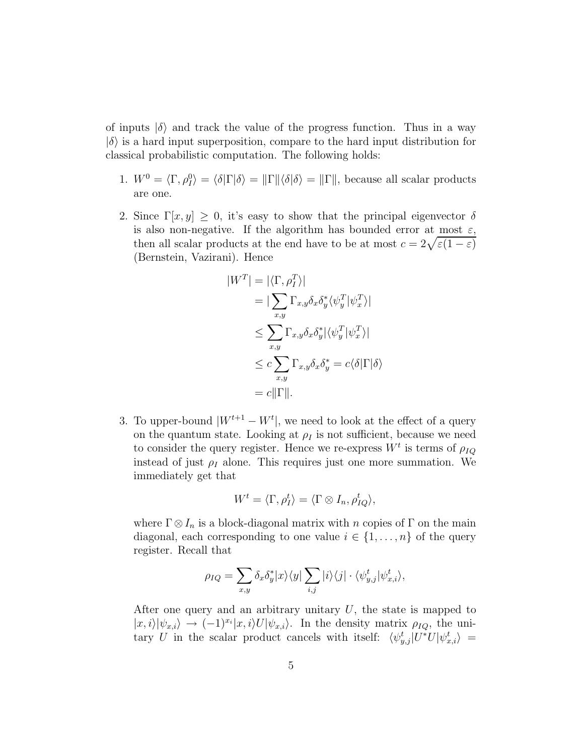of inputs  $|\delta\rangle$  and track the value of the progress function. Thus in a way  $|\delta\rangle$  is a hard input superposition, compare to the hard input distribution for classical probabilistic computation. The following holds:

- 1.  $W^0 = \langle \Gamma, \rho_I^0 \rangle = \langle \delta | \Gamma | \delta \rangle = || \Gamma || \langle \delta | \delta \rangle = || \Gamma ||$ , because all scalar products are one.
- 2. Since  $\Gamma[x, y] \geq 0$ , it's easy to show that the principal eigenvector  $\delta$ is also non-negative. If the algorithm has bounded error at most  $\varepsilon$ , then all scalar products at the end have to be at most  $c = 2\sqrt{\varepsilon(1-\varepsilon)}$ (Bernstein, Vazirani). Hence

$$
|W^T| = |\langle \Gamma, \rho_I^T \rangle|
$$
  
=  $|\sum_{x,y} \Gamma_{x,y} \delta_x \delta_y^* \langle \psi_y^T | \psi_x^T \rangle|$   
 $\leq \sum_{x,y} \Gamma_{x,y} \delta_x \delta_y^* | \langle \psi_y^T | \psi_x^T \rangle|$   
 $\leq c \sum_{x,y} \Gamma_{x,y} \delta_x \delta_y^* = c \langle \delta | \Gamma | \delta \rangle$   
=  $c || \Gamma ||$ .

3. To upper-bound  $|W^{t+1} - W^t|$ , we need to look at the effect of a query on the quantum state. Looking at  $\rho_I$  is not sufficient, because we need to consider the query register. Hence we re-express  $W^t$  is terms of  $\rho_{IQ}$ instead of just  $\rho_I$  alone. This requires just one more summation. We immediately get that

$$
W^t = \langle \Gamma, \rho_I^t \rangle = \langle \Gamma \otimes I_n, \rho_{IQ}^t \rangle,
$$

where  $\Gamma \otimes I_n$  is a block-diagonal matrix with n copies of  $\Gamma$  on the main diagonal, each corresponding to one value  $i \in \{1, \ldots, n\}$  of the query register. Recall that

$$
\rho_{IQ} = \sum_{x,y} \delta_x \delta_y^* |x\rangle\langle y| \sum_{i,j} |i\rangle\langle j| \cdot \langle \psi_{y,j}^t | \psi_{x,i}^t \rangle,
$$

After one query and an arbitrary unitary  $U$ , the state is mapped to  $|x, i\rangle |\psi_{x,i}\rangle \rightarrow (-1)^{x_i}|x, i\rangle U |\psi_{x,i}\rangle$ . In the density matrix  $\rho_{IQ}$ , the unitary U in the scalar product cancels with itself:  $\langle \psi_{y,j}^t | U^* U | \psi_{x,i}^t \rangle =$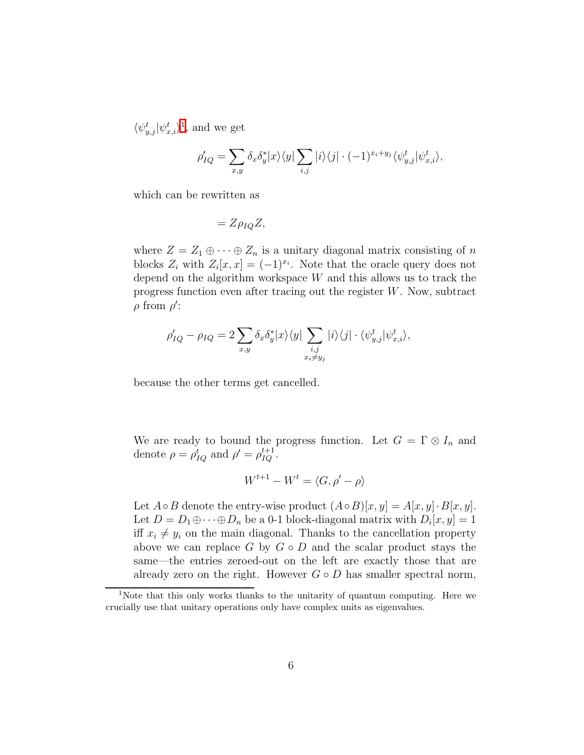$\langle \psi^t_{y,j} | \psi^t_{x,i} \rangle^1$  $\langle \psi^t_{y,j} | \psi^t_{x,i} \rangle^1$  , and we get

$$
\rho'_{IQ} = \sum_{x,y} \delta_x \delta_y^* |x\rangle\langle y| \sum_{i,j} |i\rangle\langle j| \cdot (-1)^{x_i + y_j} \langle \psi_{y,j}^t | \psi_{x,i}^t \rangle,
$$

which can be rewritten as

$$
=Z\rho_{IQ}Z,
$$

where  $Z = Z_1 \oplus \cdots \oplus Z_n$  is a unitary diagonal matrix consisting of n blocks  $Z_i$  with  $Z_i[x, x] = (-1)^{x_i}$ . Note that the oracle query does not depend on the algorithm workspace  $W$  and this allows us to track the progress function even after tracing out the register W. Now, subtract  $\rho$  from  $\rho'$ :

$$
\rho'_{IQ} - \rho_{IQ} = 2 \sum_{x,y} \delta_x \delta_y^* |x\rangle\langle y| \sum_{\substack{i,j \\ x_i \neq y_j}} |i\rangle\langle j| \cdot \langle \psi_{y,j}^t | \psi_{x,i}^t \rangle,
$$

because the other terms get cancelled.

We are ready to bound the progress function. Let  $G = \Gamma \otimes I_n$  and denote  $\rho = \rho_{IQ}^t$  and  $\rho' = \rho_{IQ}^{t+1}$ .

$$
W^{t+1} - W^t = \langle G, \rho' - \rho \rangle
$$

Let  $A \circ B$  denote the entry-wise product  $(A \circ B)[x, y] = A[x, y] \cdot B[x, y]$ . Let  $D = D_1 \oplus \cdots \oplus D_n$  be a 0-1 block-diagonal matrix with  $D_i[x, y] = 1$ iff  $x_i \neq y_i$  on the main diagonal. Thanks to the cancellation property above we can replace  $G$  by  $G \circ D$  and the scalar product stays the same—the entries zeroed-out on the left are exactly those that are already zero on the right. However  $G \circ D$  has smaller spectral norm,

<span id="page-5-0"></span><sup>1</sup>Note that this only works thanks to the unitarity of quantum computing. Here we crucially use that unitary operations only have complex units as eigenvalues.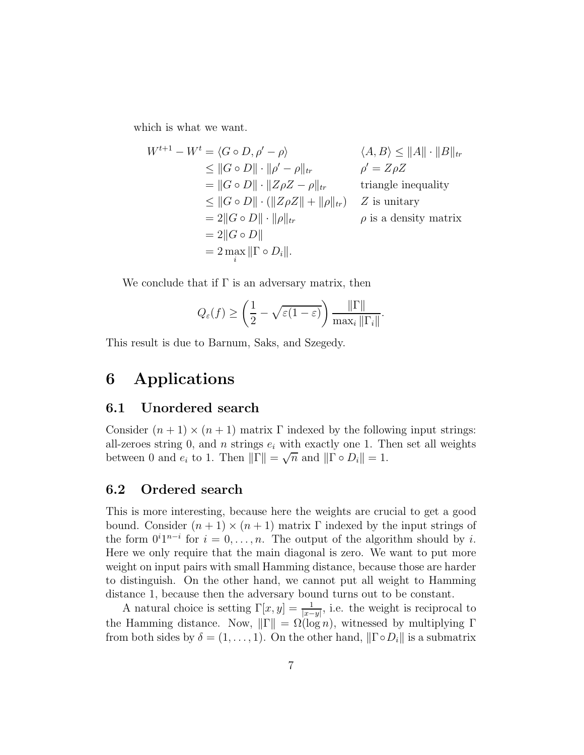which is what we want.

$$
W^{t+1} - W^t = \langle G \circ D, \rho' - \rho \rangle \qquad \langle A, B \rangle \le ||A|| \cdot ||B||_{tr}
$$
  
\n
$$
\le ||G \circ D|| \cdot ||\rho' - \rho||_{tr} \qquad \rho' = Z\rho Z
$$
  
\n
$$
= ||G \circ D|| \cdot ||Z\rho Z - \rho||_{tr} \qquad \text{triangle inequality}
$$
  
\n
$$
\le ||G \circ D|| \cdot (||Z\rho Z|| + ||\rho||_{tr}) \qquad Z \text{ is unitary}
$$
  
\n
$$
= 2||G \circ D|| \cdot ||\rho||_{tr} \qquad \rho \text{ is a density matrix}
$$
  
\n
$$
= 2||G \circ D||
$$
  
\n
$$
= 2 \max_{i} ||\Gamma \circ D_{i}||.
$$

We conclude that if  $\Gamma$  is an adversary matrix, then

$$
Q_{\varepsilon}(f) \ge \left(\frac{1}{2} - \sqrt{\varepsilon(1-\varepsilon)}\right) \frac{\|\Gamma\|}{\max_{i} \|\Gamma_{i}\|}.
$$

This result is due to Barnum, Saks, and Szegedy.

## 6 Applications

#### 6.1 Unordered search

Consider  $(n + 1) \times (n + 1)$  matrix  $\Gamma$  indexed by the following input strings: all-zeroes string 0, and *n* strings  $e_i$  with exactly one 1. Then set all weights between 0 and  $e_i$  to 1. Then  $\|\widetilde{\Gamma}\| = \sqrt{n}$  and  $\|\widetilde{\Gamma} \circ D_i\| = 1$ .

#### 6.2 Ordered search

This is more interesting, because here the weights are crucial to get a good bound. Consider  $(n + 1) \times (n + 1)$  matrix Γ indexed by the input strings of the form  $0^i1^{n-i}$  for  $i = 0, \ldots, n$ . The output of the algorithm should by i. Here we only require that the main diagonal is zero. We want to put more weight on input pairs with small Hamming distance, because those are harder to distinguish. On the other hand, we cannot put all weight to Hamming distance 1, because then the adversary bound turns out to be constant.

A natural choice is setting  $\Gamma[x, y] = \frac{1}{|x-y|}$ , i.e. the weight is reciprocal to the Hamming distance. Now,  $\|\Gamma\| = \Omega(\log n)$ , witnessed by multiplying Γ from both sides by  $\delta = (1, \ldots, 1)$ . On the other hand,  $\|\Gamma \circ D_i\|$  is a submatrix